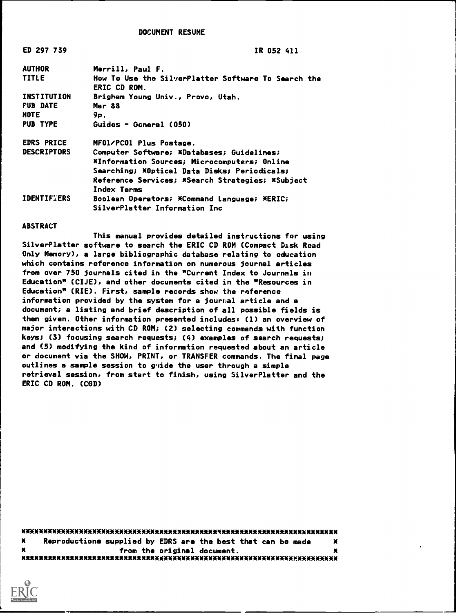DOCUMENT RESUME

ED 297 739 IR 052 411

| <b>AUTHOR</b>      | Merrill, Paul F.                                                           |
|--------------------|----------------------------------------------------------------------------|
| <b>TITLE</b>       | How To Use the SilverPlatter Software To Search the<br><b>ERIC CD ROM.</b> |
| INSTITUTION        | Brigham Young Univ., Provo, Utah.                                          |
| <b>FUB DATE</b>    | Mar 88                                                                     |
| <b>NOTE</b>        | 9р.                                                                        |
| <b>PUB TYPE</b>    | Guides - Goneral (050)                                                     |
| <b>EDRS PRICE</b>  | MFO1/PCO1 Plus Postage.                                                    |
| <b>DESCRIPTORS</b> | Computer Software; *Databases; Guidelines;                                 |
|                    | *Information Sources; Microcomputers; Online                               |
|                    | Searching; *Optical Data Disks; Periodicals;                               |
|                    | Reference Services; *Search Strategies; *Subject                           |
|                    | Index Terms                                                                |
| <b>IDENTIFIERS</b> | Boolean Operators; *Command Language; *ERIC;                               |
|                    | SilverPlatter Information Inc                                              |

#### ABSTRACT

This manual provides detailed instructions for using SilverPlatter software to search the ERIC CD ROM (Compact Disk Read Only Memory), a large bibliographic database relating to education which contains reference information on numerous journal articles from over 750 journals cited in the "Current Index to Journals in Education" (CIJE), and other documents cited in the "Resources in Education" (RIE). First, sample records show the reference information provided by the system for a journal article and a document; a listing and brief description of all possible fields is then given. Other information presented includes: (1) an overview of major interactions with CD ROM; (2) selecting commands with function keys; (3) focusing search requests; (4) examples of search requests; and (5) modifying the kind of information requested about an article or document via the SHOW, PRINT, or TRANSFER commands. The final page outlines a sample session to g'iide the user through a simple retrieval session, from start to finish, using SilverPlatter and the ERIC CD ROM. (CGD)

300000000000(MMMEMMEMOOMMOMME\*\*\*\*\*\*\*10(\*30000000000000(\*\*\*\*MOBE  $\boldsymbol{x}$ Reproductions supplied by EDRS are the best that can be made × from the original document. ¥ MEMMX\*\*\*\*\*\*X300000(300000(300000001\*\*\*\*\*\*\*\*00000000000000000000W\*\*\*\*\*\*\*\*\*

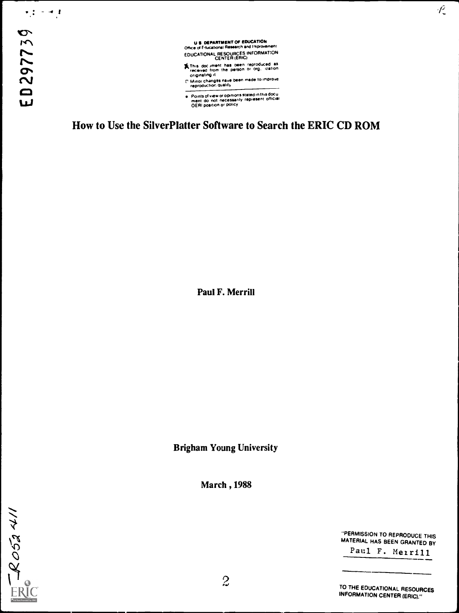$\begin{array}{c} \bullet \hspace{0.1cm} \bullet \hspace{0.1cm} \bullet \hspace{0.1cm} \bullet \hspace{0.1cm} \bullet \hspace{0.1cm} \bullet \hspace{0.1cm} \bullet \hspace{0.1cm} \bullet \hspace{0.1cm} \bullet \hspace{0.1cm} \bullet \hspace{0.1cm} \bullet \hspace{0.1cm} \bullet \hspace{0.1cm} \bullet \hspace{0.1cm} \bullet \hspace{0.1cm} \bullet \hspace{0.1cm} \bullet \hspace{0.1cm} \bullet \hspace{0.1cm} \bullet \hspace{0.1cm} \bullet \hspace{0.1cm} \bullet \hs$ 

U.S. DEPARTMENT OF EUUCATION<br>Office of Educational Research and Improvement EDUCATIONAL RESOURCES INFORMATION<br>CENTER (ERIC)

- St This doc imant has been reproduced as<br>crieved from the person or org. ization<br>C' Minor changes have been made to improve<br>reproduction quality
- 
- Points of view or opinions stated in this docu<br>ment\_do\_not\_necessarily\_represent\_official<br>OERI position or policy

How to Use the SilverPlatter Software to Search the ERIC CD ROM

Paul F. Merrill

Brigham Young University

March ,1988

ROSANI

"PERMISSION TO REPRODUCE THIS MATERIAL HAS BEEN GRANTED BY

 $\mathcal{P}_\mathbb{C}$ 

Paul F. Merrill

TO THE EDUCATIONAL RESOURCES INFORMATION CENTER (ERIC)."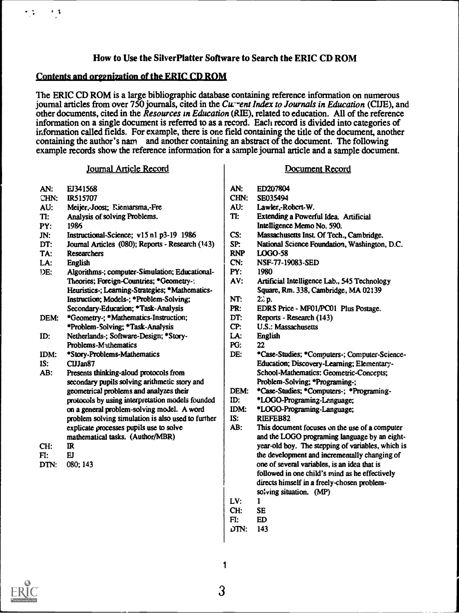# How to Use the SilverPlatter Software to Search the ERIC CD ROM

### Contents and organization of the ERIC CD ROM

 $\cdot$  j

\* . .

The ERIC CD ROM is a large bibliographic database containing reference information on numerous journal articles from over  $750$  journals, cited in the Curvent Index to Journals in Education (CUE), and other documents, cited in the Resources in Education (RIE), related to education. All of the reference information on a single document is referred to as a record. Each record is divided into categories of information called fields. For example, there is one field containing the title of the document, another containing the author's nam and another containing an abstract of the document. The following example records show the reference information for a sample journal article and a sample document.

#### Journal Article Record

#### Document Record

- AN: CHN: AU:  $TI:$ PY: JN: DT: TA: LA: DE: DEM: ID: IDM: IS: AB: CH: EJ341568 IR515707 Meijer,-Joost; Riemarsma,-Fre Analysis of solving Problems. 1986 Instructional-Science; v15 n1 p3-19 1986 Journal Articles (080); Reports - Research (143) Researchers English Algorithms-; computer-Simulation; Educational-Theories; Foreign-Countries; \*Geometry -: Heuristics-; Learning-Strategies; \*Mathematics-Instruction; Models-; \*Problem-Solving; Secondary-Education; \*Task-Analysis \*Geometry.; \*Mathematics -Instruction; \*Problem-Solving; \*Task-Analysis Netherlands-; Software-Design; \*Story-Problems-Mathematics \*Story-Problems-Mathematics CUJan87 Presents thinking-aloud protocols from secondary pupils solving arithmetic story and geometrical problems and analyzes their protocols by using interpretation models founded on a general problem-solving model. A word problem solving simulation is also used to further explicate processes pupils use to solve mathematical tasks. (Author/MBR) IR AN: CHN: AU: TI: CS: SP: CN: PY: AV: NT: PR: DT: CP: LA: PG: DE: DEM: ID: IDM: IS: AB: ED207804
	- FI: EJ
	- DTN: 080; 143
- SE035494
- Lawler,-Robcrt-W.
- Extending a Powerful Idea. Artificial Intelligence Memo No. 590.
- Massachusetts Inst. Of Tech., Cambridge.
- National Science Foundation, Washington, D.C.
- RNP LOGO-58
- NSF-77-19083-SED
- 1980
- Artificial Intelligence Lab., 545 Technology Square, Rm. 338, Cambridge, MA 02139
- $22$  p.
- EDRS Price MFOI/PC01 Plus Postage.
- Reports Research (143)
- U.S.: Massachusetts
- English
- 22
- \*Case-Studies; \*Computers-; Computer-Science-Education; Discovery-Learning; Elementary-School-Mathematics: Geometric-Concepts; Problem-Solving; \*Programing-;
- \*Case-Studies; \*Computers-; \*Programing-
- \*IAGO-Programing-Language;
- \*LOGO-Programing-Language;

RIEFEB82

- This document focuses on the use of a computer and the LOGO programing language by an eightyear-old boy. The stepping of variables, which is the development and incrementally changing of one of several variables, is an idea that is followed in one child's mind as he effectively directs himself in a freely-chosen problemsolving situation. (MP)
- LV: 1
- CH: SE
- FI: ED
- 01N: 143

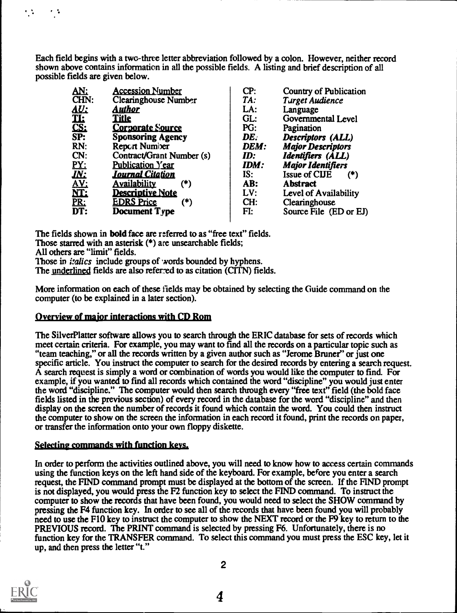Each field begins with a two-three letter abbreviation followed by a colon. However, neither record shown above contains information in all the possible fields. A listing and brief description of all possible fields are given below.

| AN:                                | <b>Accession Number</b>    | CP:  | <b>Country of Publication</b> |
|------------------------------------|----------------------------|------|-------------------------------|
| CHN:                               | Clearinghouse Number       | TA:  | <b>Turget Audience</b>        |
| <u>AU:</u><br>TL:<br>CS:<br>SP:    | <u>Author</u>              | LA:  | Language                      |
|                                    | <b>Title</b>               | GL:  | Governmental Level            |
|                                    | <b>Corporate Source</b>    | PG:  | Pagination                    |
|                                    | <b>Sponsoring Agency</b>   | DE.  | Descriptors (ALL)             |
| RN:                                | <b>Report Number</b>       | DEM: | <b>Major Descriptors</b>      |
| CN:                                | Contract/Grant Number (s)  | ID:  | Identifiers (ALL)             |
| <u>PY:</u>                         | Publication Year           | IDM: | <b>Major Identifiers</b>      |
| $\overline{\textit{IN}:}$          | <u> Journal Citation</u>   | IS:  | <b>Issue of CUE</b><br>$(*)$  |
|                                    | <b>Availability</b><br>(*) | AB:  | <b>Abstract</b>               |
|                                    | <b>Descriptive Note</b>    | LV:  | Level of Availability         |
|                                    | <b>EDRS Price</b><br>(*)   | CH:  | Clearinghouse                 |
| <b>AV:<br/>NT:<br/>PR:<br/>DT:</b> | <b>Document Type</b>       | FI:  | Source File (ED or EJ)        |
|                                    |                            |      |                               |

The fields shown in bold face are referred to as "free text" fields. Those starred with an asterisk (\*) are unsearchable fields;

All others are "limit" fields.

 $\mathcal{L}(\mathcal{G})$ 

机车

Those in *italics* include groups of words bounded by hyphens.

The underlined fields are also referred to as citation (CITN) fields.

More information on each of these fields may be obtained by selecting the Guide command on the computer (to be explained in a later section).

# Overview of major interactions with CD Rom

The Silver Platter software allows you to search through the ERIC database for sets of records which meet certain criteria. For example, you may want to find all the records on a particular topic such as "team teaching," or all the records written by a given author such as "Jerome Bruner" or just one specific article. You instruct the computer to search for the desired records by entering a search request. A search request is simply a word or combination of words you would like the computer to find. For example, if you wanted to find all records which contained the word "discipline" you would just enter the word "discipline." The computer would then search through every "free text" field (the bold face fields listed in the previous section) of every record in the database for the word "discipline" and then display on the screen the number of records it found which contain the word. You could then instruct the computer to show on the screen the information in each record it found, print the records on paper, or transfer the information onto your own floppy diskette.

## selecting commands with function keys,

In order to perform the activities outlined above, you will need to know how to access certain commands using the function keys on the left hand side of the keyboard. For example, before you enter a search request, the FIND command prompt must be displayed at the bottom of the screen. If the FIND prompt is not displayed, you would press the F2 function key to select the FIND command. To instruct the computer to show the records that have been found, you would need to select the SHOW command by pressing the F4 function key. In order to see all of the records that have been found you will probably need to use the F10 key to instruct the computer to show the NEXT record or the F9 key to return to the PREVIOUS record. The PRINT command is selected by pressing F6. Unfortunately, there is no function key for the TRANSFER command. To select this command you must press the ESC key, let it up, and then press the letter "t."



2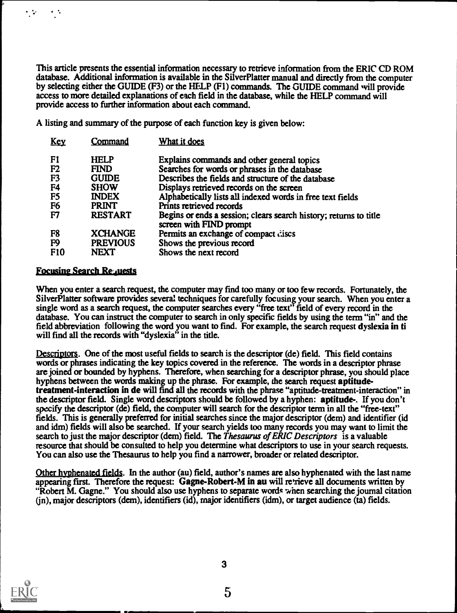This article presents the essential information necessary to retrieve information from the ERIC CD ROM database. Additional information is available in the Silver Platter manual and directly from the computer by selecting either the GUIDE (F3) or the HELP (F1) commands. The GUIDE command will provide access to more detailed explanations of each field in the database, while the HELP command will provide access to further information about each command.

A listing and summary of the purpose of each function key is given below:

| <u>Key</u>      | Command         | What it does                                                                                 |
|-----------------|-----------------|----------------------------------------------------------------------------------------------|
| F1              | <b>HELP</b>     | Explains commands and other general topics                                                   |
| F <sub>2</sub>  | <b>FIND</b>     | Searches for words or phrases in the database                                                |
| F <sub>3</sub>  | <b>GUIDE</b>    | Describes the fields and structure of the database                                           |
| F <sub>4</sub>  | <b>SHOW</b>     | Displays retrieved records on the screen                                                     |
| F <sub>5</sub>  | <b>INDEX</b>    | Alphabetically lists all indexed words in free text fields                                   |
| F <sub>6</sub>  | PRINT           | Prints retrieved records                                                                     |
| F7              | <b>RESTART</b>  | Begins or ends a session; clears search history; returns to title<br>screen with FIND prompt |
| F8              | <b>XCHANGE</b>  | Permits an exchange of compact discs                                                         |
| F <sub>9</sub>  | <b>PREVIOUS</b> | Shows the previous record                                                                    |
| F <sub>10</sub> | <b>NEXT</b>     | Shows the next record                                                                        |

## **Focusing Search Requests**

 $\mathcal{L}$ 

 $\ddot{\phantom{0}}$ 

When you enter a search request, the computer may find too many or too few records. Fortunately, the Silver Platter software provides several techniques for carefully focusing your search. When you enter a single word as a search request, the computer searches every "free text" field of every record in the database. You can instruct the computer to search in only specific fields by using the term "in" and the field abbreviation following the word you want to fmd. For example, the search request dyslexia in ti will find all the records with "dyslexia" in the title.

Descriptors. One of the most useful fields to search is the descriptor (de) field. This field contains words or phrases indicating the key topics covered in the reference. The words in a descriptor phrase are joined or bounded by hyphens. Therefore, when searching for a descriptor phrase, you should place hyphens between the words making up the phrase. For example, the search request aptitudetreatment-interaction in de will find all the records with the phrase "aptitude-treatment-interaction" in the descriptor field. Single word descriptors should be followed by a hyphen: aptitude-. If you don't specify the descriptor (de) field, the computer will search for the descriptor term in all the "free-text" fields. This is generally preferred for initial searches since the major descriptor (dem) and identifier (id and idm) fields will also be searched. If your search yields too many records you may want to limit the search to just the major descriptor (dem) field. The Thesaurus of ERIC Descriptors is a valuable resource that should be consulted to help you determine what descriptors to use in your search requests. You can also use the Thesaurus to help you find a narrower, broader or related descriptor.

Other hyphenated fields. In the author (au) field, author's names are also hyphenated with the last name appearing first. Therefore the request: Gagne-Robert-M in au will retrieve all documents written by "Robert M. Gagne." You should also use hyphens to separate words when searching the journal citation (jn), major descriptors (dem), identifiers (id), major identifiers (idm), or target audience (ta) fields.



3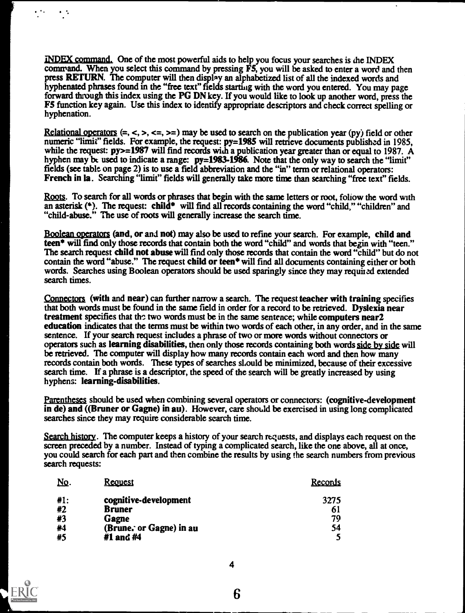INDEX command. One of the most powerful aids to help you focus your searches is the INDEX command. When you select this command by pressing F5, you will be asked to enter a word and then press RETURN. The computer will then display an alphabetized list of all the indexed words and hyphenated phrases found in the "free text" fields starting with the word you entered. You may page forward through this index using the PG DN key. If you would like to look up another word, press the F5 function key again. Use this index to identify appropriate descriptors and check correct spelling or hyphenation.

Relational operators  $(=, <, >, <=, >=)$  may be used to search on the publication year (py) field or other numeric "limit" fields. For example, the request:  $py=1985$  will retrieve documents published in 1985, while the request:  $py>=1987$  will find records with a publication year greater than or equal to 1987. A hyphen may be used to indicate a range: py=1983-1986. Note that the only way to search the "limit" fields (see table on page 2) is to use a field abbreviation and the "in" term or relational operators: French in la. Searching "limit" fields will generally take more time than searching "free text" fields.

Roots. To search for all words or phrases that begin with the same letters or root, follow the word with an asterisk  $(*)$ . The request: child\* will find all records containing the word "child," "children" and "child-abuse." The use of roots will generally increase the search time.

Boolean operators (and, or and not) may also be used to refine your search. For example, child and teen\* will find only those records that contain both the word "child" and words that begin with "teen." The search request child not abuse will find only those records that contain the word "child" but do not contain the word "abuse." The request child or teen\* will find all documents containing either or both words. Searches using Boolean operators should be used sparingly since they may required extended search times.

Connectors (with and near) can further narrow a search. The request teacher with training specifies that both words must be found in the same field in order for a record to be retrieved. Dyslexia near treatment specifies that the two words must be in the same sentence; while computers near2 education indicates that the terms must be within two words of each other, in any order, and in the same sentence. If your search request includes a phrase of two or more words without connectors or operators such as learning disabilities, then only those records containing both words side by side will be retrieved. The computer will display how many records contain each word and then how many records contain both words. These types of searches should be minimized, because of their excessive search time. If a phrase is a descriptor, the speed of the search will be greatly increased by using hyphens: learning-disabilities.

Parentheses should be used when combining several operators or connectors: (cognitive-development in de) and ((Bruner or Gagne) in au). However, care should be exercised in using long complicated searches since they may require considerable search time.

Search history. The computer keeps a history of your search requests, and displays each request on the screen preceded by a number. Instead of typing a complicated search, like the one above, all at once, you could search for each part and then combine the results by using the search numbers from previous search requests:

| <u>No.</u> | <b>Request</b>          | Records |
|------------|-------------------------|---------|
| #1:        | cognitive-development   | 3275    |
| #2         | <b>Bruner</b>           | 61      |
| #3         | <b>Gagne</b>            | 79      |
| #4         | (Brune. or Gagne) in au | 54      |
| #5         | #1 and #4               |         |



 $\ddot{\phantom{a}}$ 

 $\frac{1}{2}$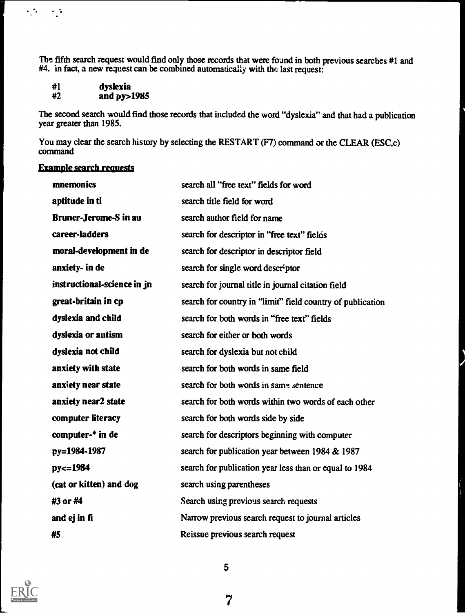The fifth search request would find only those records that were found in both previous searches #1 and #4. in fact, a new request can be combined automatically with the last request:

| #1 | dyslexia    |
|----|-------------|
| #2 | and py>1985 |

 $\mathcal{L}^{\text{max}}_{\text{max}}$  and  $\mathcal{L}^{\text{max}}_{\text{max}}$ 

The second search would fmd those records that included the word "dyslexia" and that had a publication year greater than 1985.

You may clear the search history by selecting the RESTART (F7) command or the CLEAR (ESC,c) command

# Example search requests

| mnemonics                    | search all "free text" fields for word                     |
|------------------------------|------------------------------------------------------------|
| aptitude in ti               | search title field for word                                |
| <b>Bruner-Jerome-S in au</b> | search author field for name                               |
| career-ladders               | search for descriptor in "free text" fields                |
| moral-development in de      | search for descriptor in descriptor field                  |
| anxiety- in de               | search for single word descriptor                          |
| instructional-science in jn  | search for journal title in journal citation field         |
| great-britain in cp          | search for country in "limit" field country of publication |
| dyslexia and child           | search for both words in "free text" fields                |
| dyslexia or autism           | search for either or both words                            |
| dyslexia not child           | search for dyslexia but not child                          |
| anxiety with state           | search for both words in same field                        |
| anxiety near state           | search for both words in same sentence                     |
| anxiety near2 state          | search for both words within two words of each other       |
| computer literacy            | search for both words side by side                         |
| computer-* in de             | search for descriptors beginning with computer             |
| py=1984-1987                 | search for publication year between 1984 & 1987            |
| $py = 1984$                  | search for publication year less than or equal to 1984     |
| (cat or kitten) and dog      | search using parentheses                                   |
| #3 or #4                     | Search using previous search requests                      |
| and ej in fi                 | Narrow previous search request to journal articles         |
| #5                           | Reissue previous search request                            |



5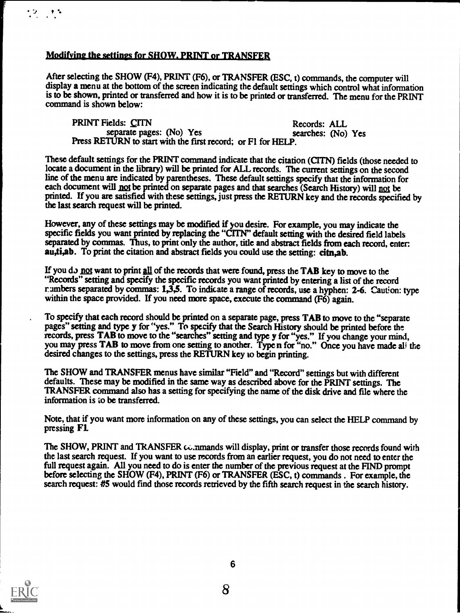# Modifying the settings for SHOW. PRINT or TRANSFER

 $12.11$ 

After selecting the SHOW (F4), PRINT (F6), or TRANSFER (ESC, t) commands, the computer will display a menu at the bottom of the screen indicating the default settings which control what information is to be shown, printed or transferred and how it is to be printed or transferred. The menu for the PRINT command is shown below:

PRINT Fields: CITN<br>separate pages: (No) Yes<br>searches: (No) Yes<br>gazethes: (No) Yes separate pages: (No) Yes Press RETURN to start with the first record: or F1 for HELP.

These default settings for the PRINT command indicate that the citation (CITN) fields (those needed to locate a document in the library) will be primed for ALL records. The current settings on the second line of the menu are indicated by parentheses. These default settings specify that the information for each document will not be printed on separate pages and that searches (Search History) will not be printed. If you are satisfied with these settings, just press the RETURN key and the records specified by the last search request will be printed.

However, any of these settings may be modified if you desire. For example, you may indicate the specific fields you want primed by replacing the "CITN" default setting with the desired field labels separated by commas. Thus, to print only the author, title and abstract fields from each record, enter: au,ti,ab. To print the citation and abstract fields you could use the setting: citn,ab.

If you do not want to print all of the records that were found, press the TAB key to move to the "Records" setting and specify the specific records you want printed by enteringa list of the record rumbers separated by commas: 1,3,5. To indicate a range of records, use a hyphen: 2-6. Caution: type within the space provided. If you need more space, execute the command (F6) again.

To specify that each record should be printed on a separate page, press TAB to move to the "separate pages" setting and type y for "yes." To specify that the Search History should be printed before the records, press TAB to move to the "searches" setting and type y for "yes." If you change your mind, you may press TAB to move from one setting to another. Type n for "no." Once you have made all the desired changes to the settings, press the RETURN key to begin printing.

The SHOW and TRANSFER menus have similar "Field" and "Record" settings but with different defaults. These may be modified in the same way as described above for the PRINT settings. The TRANSFER command also has a setting for specifying the name of the disk drive and file where the information is io be transferred.

Note, that if you want more information on any of these settings, you can select the HELP command by pressing Fl.

The SHOW, PRINT and TRANSFER commands will display, print or transfer those records found with the last search request. If you want to use records from an earlier request, you do not need to enter the full request again. All you need to do is enter the number of the previous request at the FIND prompt before selecting the SHOW (F4), PRINT (F6) or TRANSFER (ESC, t) commands . For example, the search request: #5 would find those records retrieved by the fifth search request in the search history.